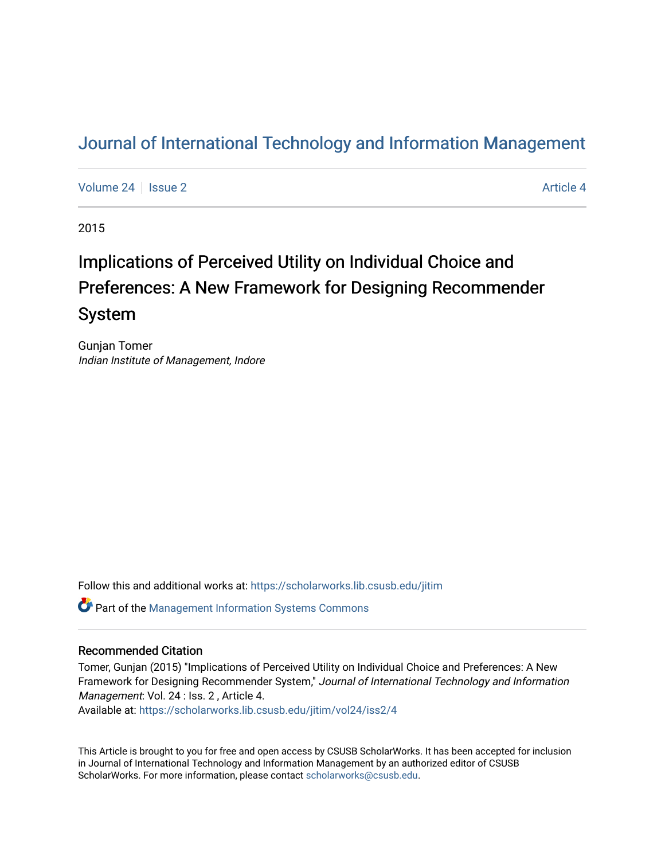# [Journal of International Technology and Information Management](https://scholarworks.lib.csusb.edu/jitim)

[Volume 24](https://scholarworks.lib.csusb.edu/jitim/vol24) | [Issue 2](https://scholarworks.lib.csusb.edu/jitim/vol24/iss2) [Article 4](https://scholarworks.lib.csusb.edu/jitim/vol24/iss2/4) Article 4

2015

# Implications of Perceived Utility on Individual Choice and Preferences: A New Framework for Designing Recommender System

Gunjan Tomer Indian Institute of Management, Indore

Follow this and additional works at: [https://scholarworks.lib.csusb.edu/jitim](https://scholarworks.lib.csusb.edu/jitim?utm_source=scholarworks.lib.csusb.edu%2Fjitim%2Fvol24%2Fiss2%2F4&utm_medium=PDF&utm_campaign=PDFCoverPages) 

Part of the [Management Information Systems Commons](http://network.bepress.com/hgg/discipline/636?utm_source=scholarworks.lib.csusb.edu%2Fjitim%2Fvol24%2Fiss2%2F4&utm_medium=PDF&utm_campaign=PDFCoverPages) 

#### Recommended Citation

Tomer, Gunjan (2015) "Implications of Perceived Utility on Individual Choice and Preferences: A New Framework for Designing Recommender System," Journal of International Technology and Information Management: Vol. 24 : Iss. 2 , Article 4.

Available at: [https://scholarworks.lib.csusb.edu/jitim/vol24/iss2/4](https://scholarworks.lib.csusb.edu/jitim/vol24/iss2/4?utm_source=scholarworks.lib.csusb.edu%2Fjitim%2Fvol24%2Fiss2%2F4&utm_medium=PDF&utm_campaign=PDFCoverPages) 

This Article is brought to you for free and open access by CSUSB ScholarWorks. It has been accepted for inclusion in Journal of International Technology and Information Management by an authorized editor of CSUSB ScholarWorks. For more information, please contact [scholarworks@csusb.edu.](mailto:scholarworks@csusb.edu)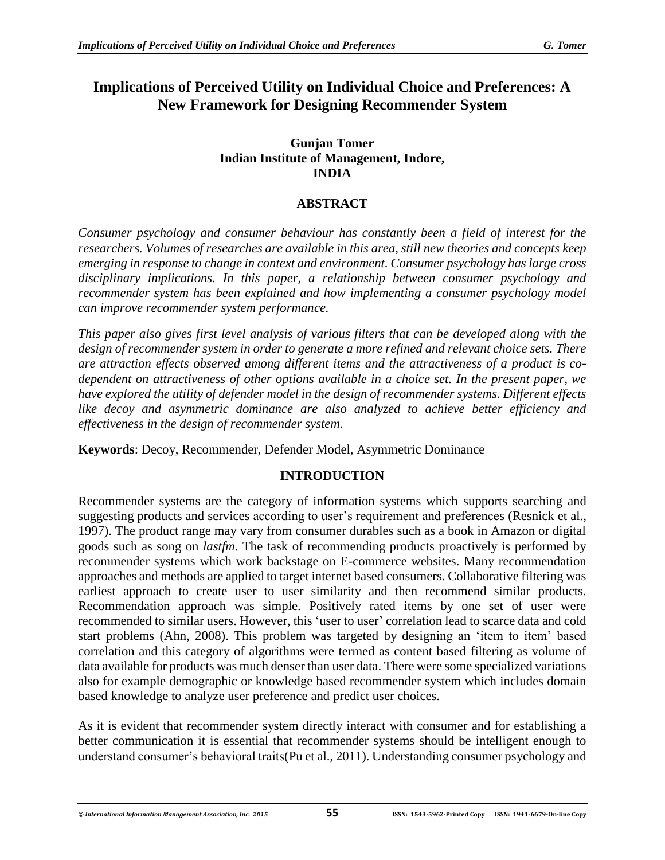# **Implications of Perceived Utility on Individual Choice and Preferences: A New Framework for Designing Recommender System**

#### **Gunjan Tomer Indian Institute of Management, Indore, INDIA**

# **ABSTRACT**

*Consumer psychology and consumer behaviour has constantly been a field of interest for the researchers. Volumes of researches are available in this area, still new theories and concepts keep emerging in response to change in context and environment. Consumer psychology has large cross disciplinary implications. In this paper, a relationship between consumer psychology and recommender system has been explained and how implementing a consumer psychology model can improve recommender system performance.* 

*This paper also gives first level analysis of various filters that can be developed along with the design of recommender system in order to generate a more refined and relevant choice sets. There are attraction effects observed among different items and the attractiveness of a product is codependent on attractiveness of other options available in a choice set. In the present paper, we have explored the utility of defender model in the design of recommender systems. Different effects like decoy and asymmetric dominance are also analyzed to achieve better efficiency and effectiveness in the design of recommender system.*

**Keywords**: Decoy, Recommender, Defender Model, Asymmetric Dominance

# **INTRODUCTION**

Recommender systems are the category of information systems which supports searching and suggesting products and services according to user's requirement and preferences (Resnick et al., 1997). The product range may vary from consumer durables such as a book in Amazon or digital goods such as song on *lastfm*. The task of recommending products proactively is performed by recommender systems which work backstage on E-commerce websites. Many recommendation approaches and methods are applied to target internet based consumers. Collaborative filtering was earliest approach to create user to user similarity and then recommend similar products. Recommendation approach was simple. Positively rated items by one set of user were recommended to similar users. However, this 'user to user' correlation lead to scarce data and cold start problems (Ahn, 2008). This problem was targeted by designing an 'item to item' based correlation and this category of algorithms were termed as content based filtering as volume of data available for products was much denser than user data. There were some specialized variations also for example demographic or knowledge based recommender system which includes domain based knowledge to analyze user preference and predict user choices.

As it is evident that recommender system directly interact with consumer and for establishing a better communication it is essential that recommender systems should be intelligent enough to understand consumer's behavioral traits(Pu et al., 2011). Understanding consumer psychology and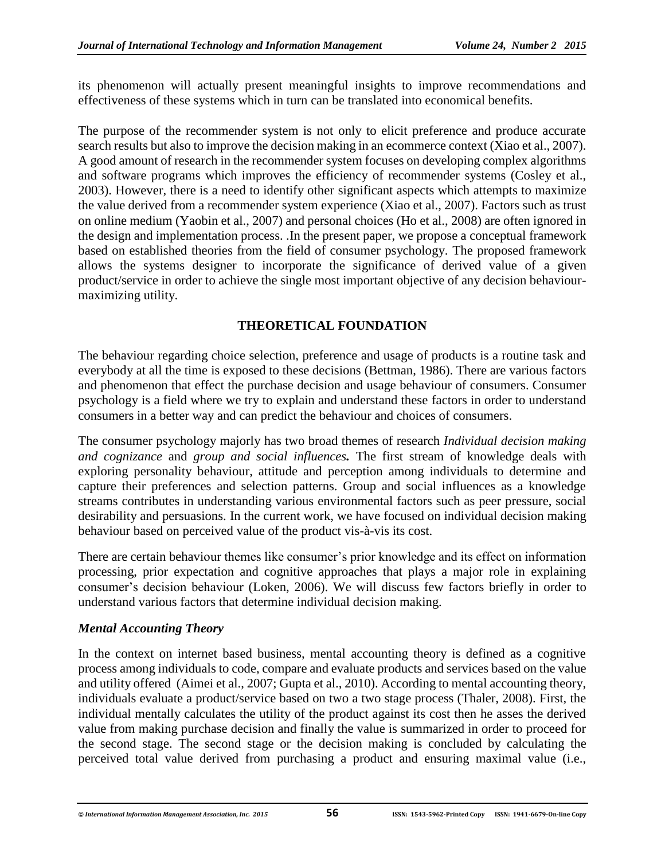its phenomenon will actually present meaningful insights to improve recommendations and effectiveness of these systems which in turn can be translated into economical benefits.

The purpose of the recommender system is not only to elicit preference and produce accurate search results but also to improve the decision making in an ecommerce context (Xiao et al., 2007). A good amount of research in the recommender system focuses on developing complex algorithms and software programs which improves the efficiency of recommender systems (Cosley et al., 2003). However, there is a need to identify other significant aspects which attempts to maximize the value derived from a recommender system experience (Xiao et al., 2007). Factors such as trust on online medium (Yaobin et al., 2007) and personal choices (Ho et al., 2008) are often ignored in the design and implementation process. .In the present paper, we propose a conceptual framework based on established theories from the field of consumer psychology. The proposed framework allows the systems designer to incorporate the significance of derived value of a given product/service in order to achieve the single most important objective of any decision behaviourmaximizing utility.

# **THEORETICAL FOUNDATION**

The behaviour regarding choice selection, preference and usage of products is a routine task and everybody at all the time is exposed to these decisions (Bettman, 1986). There are various factors and phenomenon that effect the purchase decision and usage behaviour of consumers. Consumer psychology is a field where we try to explain and understand these factors in order to understand consumers in a better way and can predict the behaviour and choices of consumers.

The consumer psychology majorly has two broad themes of research *Individual decision making and cognizance* and *group and social influences.* The first stream of knowledge deals with exploring personality behaviour, attitude and perception among individuals to determine and capture their preferences and selection patterns. Group and social influences as a knowledge streams contributes in understanding various environmental factors such as peer pressure, social desirability and persuasions. In the current work, we have focused on individual decision making behaviour based on perceived value of the product vis-à-vis its cost.

There are certain behaviour themes like consumer's prior knowledge and its effect on information processing, prior expectation and cognitive approaches that plays a major role in explaining consumer's decision behaviour (Loken, 2006). We will discuss few factors briefly in order to understand various factors that determine individual decision making.

# *Mental Accounting Theory*

In the context on internet based business, mental accounting theory is defined as a cognitive process among individuals to code, compare and evaluate products and services based on the value and utility offered (Aimei et al., 2007; Gupta et al., 2010). According to mental accounting theory, individuals evaluate a product/service based on two a two stage process (Thaler, 2008). First, the individual mentally calculates the utility of the product against its cost then he asses the derived value from making purchase decision and finally the value is summarized in order to proceed for the second stage. The second stage or the decision making is concluded by calculating the perceived total value derived from purchasing a product and ensuring maximal value (i.e.,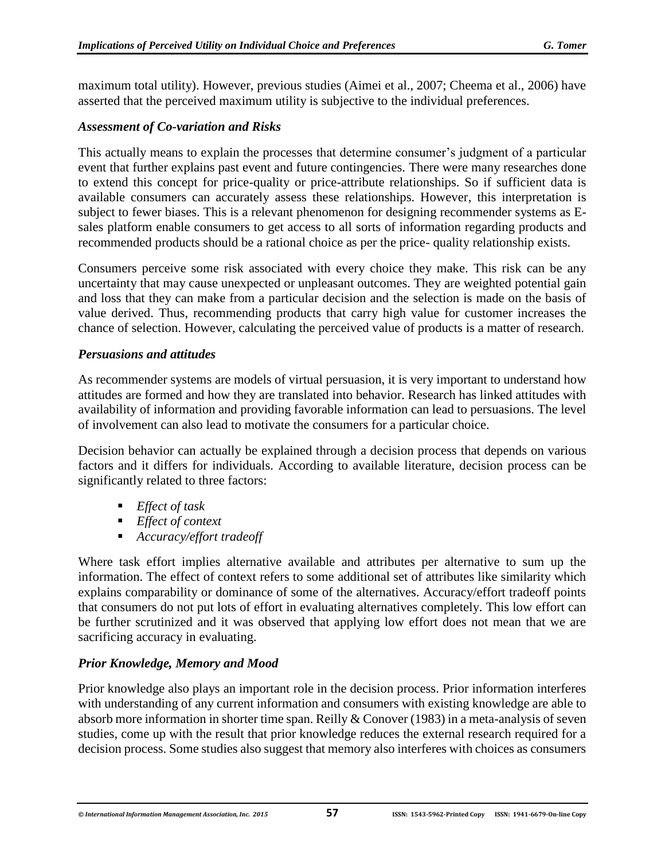maximum total utility). However, previous studies (Aimei et al., 2007; Cheema et al., 2006) have asserted that the perceived maximum utility is subjective to the individual preferences.

## *Assessment of Co-variation and Risks*

This actually means to explain the processes that determine consumer's judgment of a particular event that further explains past event and future contingencies. There were many researches done to extend this concept for price-quality or price-attribute relationships. So if sufficient data is available consumers can accurately assess these relationships. However, this interpretation is subject to fewer biases. This is a relevant phenomenon for designing recommender systems as Esales platform enable consumers to get access to all sorts of information regarding products and recommended products should be a rational choice as per the price- quality relationship exists.

Consumers perceive some risk associated with every choice they make. This risk can be any uncertainty that may cause unexpected or unpleasant outcomes. They are weighted potential gain and loss that they can make from a particular decision and the selection is made on the basis of value derived. Thus, recommending products that carry high value for customer increases the chance of selection. However, calculating the perceived value of products is a matter of research.

## *Persuasions and attitudes*

As recommender systems are models of virtual persuasion, it is very important to understand how attitudes are formed and how they are translated into behavior. Research has linked attitudes with availability of information and providing favorable information can lead to persuasions. The level of involvement can also lead to motivate the consumers for a particular choice.

Decision behavior can actually be explained through a decision process that depends on various factors and it differs for individuals. According to available literature, decision process can be significantly related to three factors:

- *Effect of task*
- *Effect of context*
- *Accuracy/effort tradeoff*

Where task effort implies alternative available and attributes per alternative to sum up the information. The effect of context refers to some additional set of attributes like similarity which explains comparability or dominance of some of the alternatives. Accuracy/effort tradeoff points that consumers do not put lots of effort in evaluating alternatives completely. This low effort can be further scrutinized and it was observed that applying low effort does not mean that we are sacrificing accuracy in evaluating.

# *Prior Knowledge, Memory and Mood*

Prior knowledge also plays an important role in the decision process. Prior information interferes with understanding of any current information and consumers with existing knowledge are able to absorb more information in shorter time span. Reilly & Conover (1983) in a meta-analysis of seven studies, come up with the result that prior knowledge reduces the external research required for a decision process. Some studies also suggest that memory also interferes with choices as consumers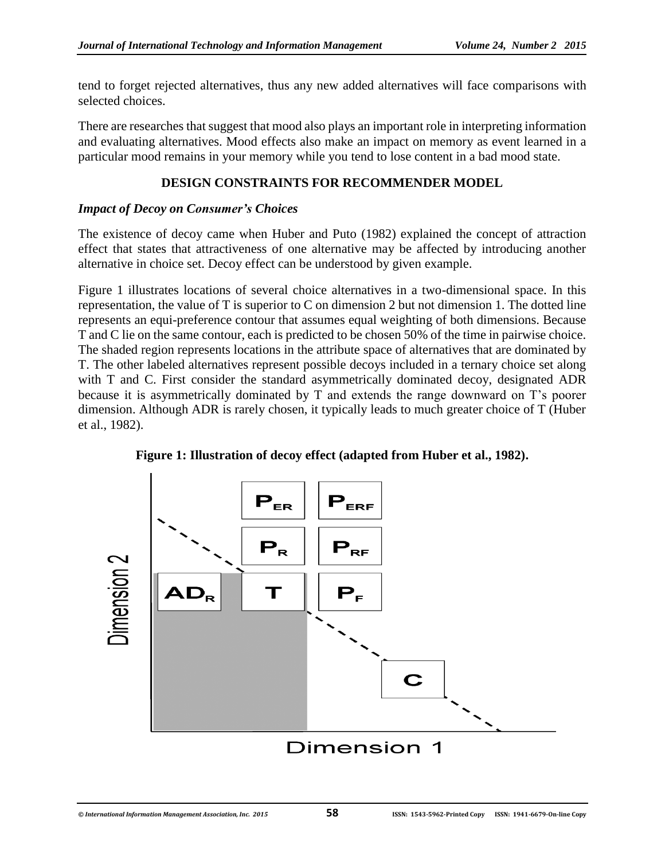tend to forget rejected alternatives, thus any new added alternatives will face comparisons with selected choices.

There are researches that suggest that mood also plays an important role in interpreting information and evaluating alternatives. Mood effects also make an impact on memory as event learned in a particular mood remains in your memory while you tend to lose content in a bad mood state.

#### **DESIGN CONSTRAINTS FOR RECOMMENDER MODEL**

#### *Impact of Decoy on Consumer's Choices*

The existence of decoy came when Huber and Puto (1982) explained the concept of attraction effect that states that attractiveness of one alternative may be affected by introducing another alternative in choice set. Decoy effect can be understood by given example.

Figure 1 illustrates locations of several choice alternatives in a two-dimensional space. In this representation, the value of T is superior to C on dimension 2 but not dimension 1. The dotted line represents an equi-preference contour that assumes equal weighting of both dimensions. Because T and C lie on the same contour, each is predicted to be chosen 50% of the time in pairwise choice. The shaded region represents locations in the attribute space of alternatives that are dominated by T. The other labeled alternatives represent possible decoys included in a ternary choice set along with T and C. First consider the standard asymmetrically dominated decoy, designated ADR because it is asymmetrically dominated by T and extends the range downward on T's poorer dimension. Although ADR is rarely chosen, it typically leads to much greater choice of T (Huber et al., 1982).



**Figure 1: Illustration of decoy effect (adapted from Huber et al., 1982).**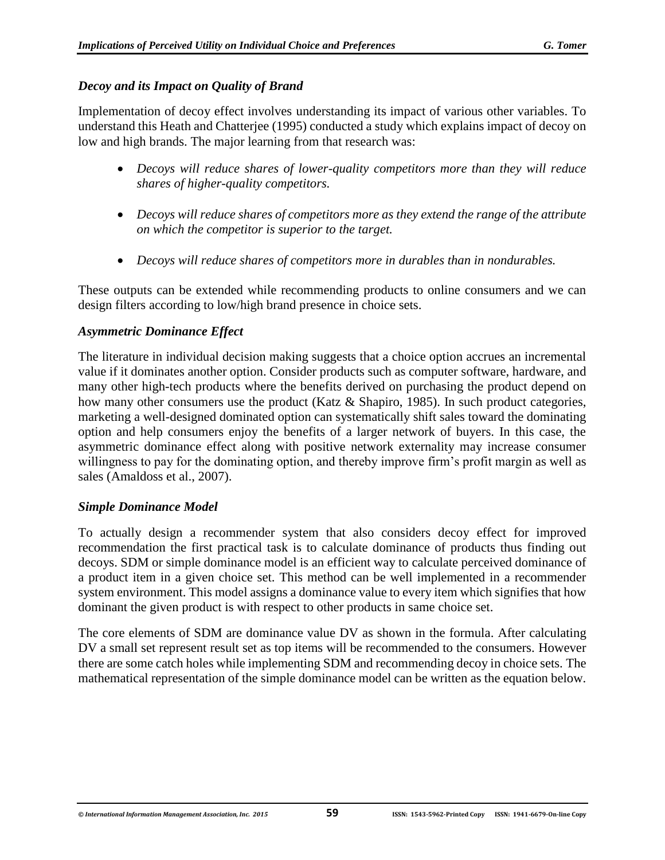## *Decoy and its Impact on Quality of Brand*

Implementation of decoy effect involves understanding its impact of various other variables. To understand this Heath and Chatterjee (1995) conducted a study which explains impact of decoy on low and high brands. The major learning from that research was:

- *Decoys will reduce shares of lower-quality competitors more than they will reduce shares of higher-quality competitors.*
- *Decoys will reduce shares of competitors more as they extend the range of the attribute on which the competitor is superior to the target.*
- *Decoys will reduce shares of competitors more in durables than in nondurables.*

These outputs can be extended while recommending products to online consumers and we can design filters according to low/high brand presence in choice sets.

#### *Asymmetric Dominance Effect*

The literature in individual decision making suggests that a choice option accrues an incremental value if it dominates another option. Consider products such as computer software, hardware, and many other high-tech products where the benefits derived on purchasing the product depend on how many other consumers use the product (Katz & Shapiro, 1985). In such product categories, marketing a well-designed dominated option can systematically shift sales toward the dominating option and help consumers enjoy the benefits of a larger network of buyers. In this case, the asymmetric dominance effect along with positive network externality may increase consumer willingness to pay for the dominating option, and thereby improve firm's profit margin as well as sales (Amaldoss et al., 2007).

#### *Simple Dominance Model*

To actually design a recommender system that also considers decoy effect for improved recommendation the first practical task is to calculate dominance of products thus finding out decoys. SDM or simple dominance model is an efficient way to calculate perceived dominance of a product item in a given choice set. This method can be well implemented in a recommender system environment. This model assigns a dominance value to every item which signifies that how dominant the given product is with respect to other products in same choice set.

The core elements of SDM are dominance value DV as shown in the formula. After calculating DV a small set represent result set as top items will be recommended to the consumers. However there are some catch holes while implementing SDM and recommending decoy in choice sets. The mathematical representation of the simple dominance model can be written as the equation below.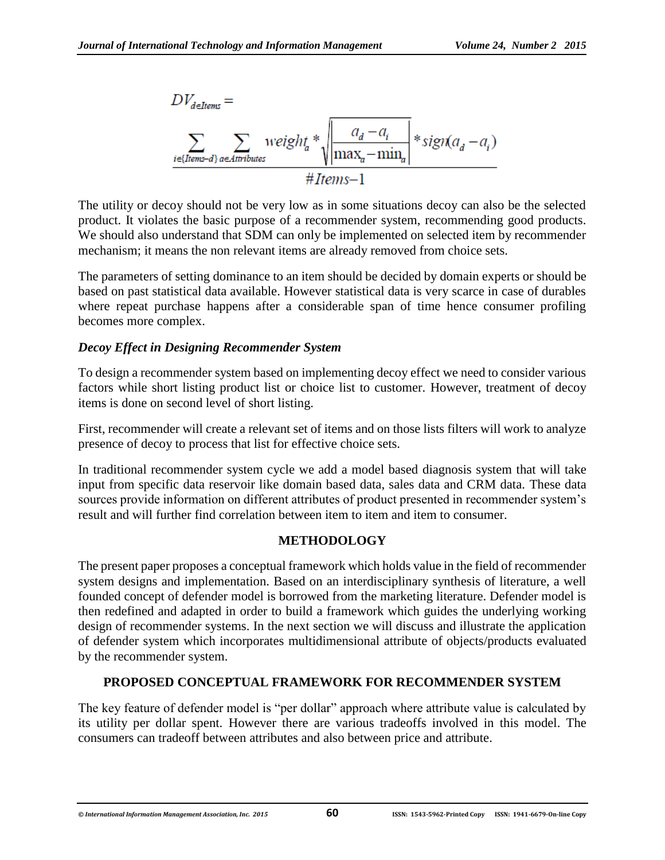

The utility or decoy should not be very low as in some situations decoy can also be the selected product. It violates the basic purpose of a recommender system, recommending good products. We should also understand that SDM can only be implemented on selected item by recommender mechanism; it means the non relevant items are already removed from choice sets.

The parameters of setting dominance to an item should be decided by domain experts or should be based on past statistical data available. However statistical data is very scarce in case of durables where repeat purchase happens after a considerable span of time hence consumer profiling becomes more complex.

#### *Decoy Effect in Designing Recommender System*

To design a recommender system based on implementing decoy effect we need to consider various factors while short listing product list or choice list to customer. However, treatment of decoy items is done on second level of short listing.

First, recommender will create a relevant set of items and on those lists filters will work to analyze presence of decoy to process that list for effective choice sets.

In traditional recommender system cycle we add a model based diagnosis system that will take input from specific data reservoir like domain based data, sales data and CRM data. These data sources provide information on different attributes of product presented in recommender system's result and will further find correlation between item to item and item to consumer.

#### **METHODOLOGY**

The present paper proposes a conceptual framework which holds value in the field of recommender system designs and implementation. Based on an interdisciplinary synthesis of literature, a well founded concept of defender model is borrowed from the marketing literature. Defender model is then redefined and adapted in order to build a framework which guides the underlying working design of recommender systems. In the next section we will discuss and illustrate the application of defender system which incorporates multidimensional attribute of objects/products evaluated by the recommender system.

# **PROPOSED CONCEPTUAL FRAMEWORK FOR RECOMMENDER SYSTEM**

The key feature of defender model is "per dollar" approach where attribute value is calculated by its utility per dollar spent. However there are various tradeoffs involved in this model. The consumers can tradeoff between attributes and also between price and attribute.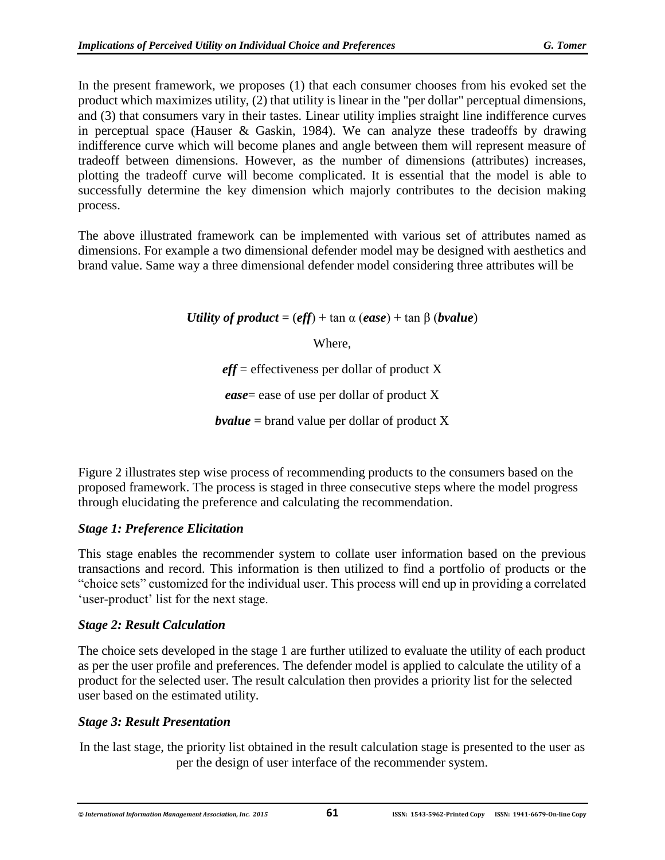In the present framework, we proposes (1) that each consumer chooses from his evoked set the product which maximizes utility, (2) that utility is linear in the "per dollar" perceptual dimensions, and (3) that consumers vary in their tastes. Linear utility implies straight line indifference curves in perceptual space (Hauser & Gaskin, 1984). We can analyze these tradeoffs by drawing indifference curve which will become planes and angle between them will represent measure of tradeoff between dimensions. However, as the number of dimensions (attributes) increases, plotting the tradeoff curve will become complicated. It is essential that the model is able to successfully determine the key dimension which majorly contributes to the decision making process.

The above illustrated framework can be implemented with various set of attributes named as dimensions. For example a two dimensional defender model may be designed with aesthetics and brand value. Same way a three dimensional defender model considering three attributes will be

*Utility of product* =  $(eff)$  + tan  $\alpha$  (*ease*) + tan  $\beta$  (*bvalue*)

Where,

*eff* = effectiveness per dollar of product X

*ease*= ease of use per dollar of product X

*bvalue* = brand value per dollar of product X

Figure 2 illustrates step wise process of recommending products to the consumers based on the proposed framework. The process is staged in three consecutive steps where the model progress through elucidating the preference and calculating the recommendation.

# *Stage 1: Preference Elicitation*

This stage enables the recommender system to collate user information based on the previous transactions and record. This information is then utilized to find a portfolio of products or the "choice sets" customized for the individual user. This process will end up in providing a correlated 'user-product' list for the next stage.

# *Stage 2: Result Calculation*

The choice sets developed in the stage 1 are further utilized to evaluate the utility of each product as per the user profile and preferences. The defender model is applied to calculate the utility of a product for the selected user. The result calculation then provides a priority list for the selected user based on the estimated utility.

# *Stage 3: Result Presentation*

In the last stage, the priority list obtained in the result calculation stage is presented to the user as per the design of user interface of the recommender system.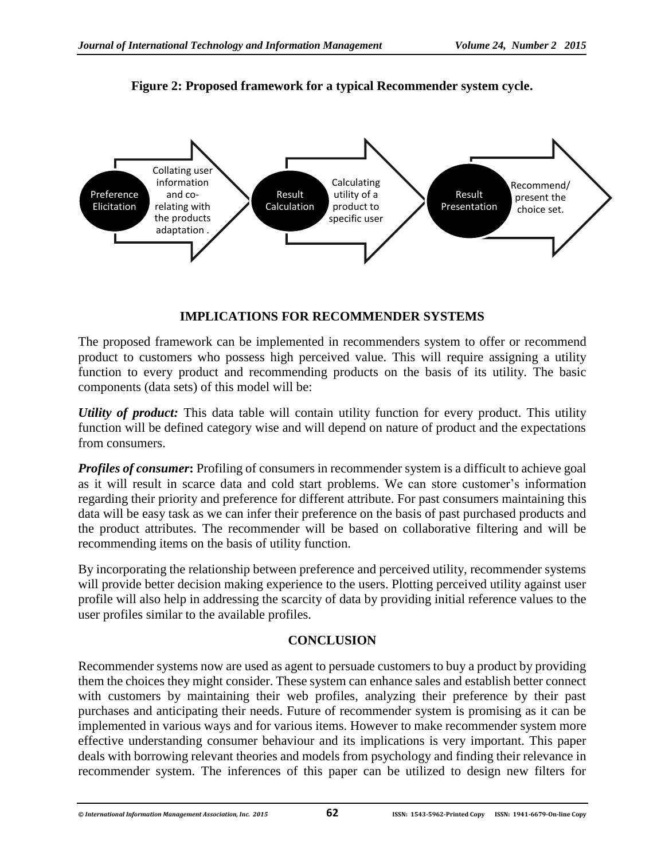

**Figure 2: Proposed framework for a typical Recommender system cycle.**

# **IMPLICATIONS FOR RECOMMENDER SYSTEMS**

The proposed framework can be implemented in recommenders system to offer or recommend product to customers who possess high perceived value. This will require assigning a utility function to every product and recommending products on the basis of its utility. The basic components (data sets) of this model will be:

*Utility of product:* This data table will contain utility function for every product. This utility function will be defined category wise and will depend on nature of product and the expectations from consumers.

*Profiles of consumer***:** Profiling of consumers in recommender system is a difficult to achieve goal as it will result in scarce data and cold start problems. We can store customer's information regarding their priority and preference for different attribute. For past consumers maintaining this data will be easy task as we can infer their preference on the basis of past purchased products and the product attributes. The recommender will be based on collaborative filtering and will be recommending items on the basis of utility function.

By incorporating the relationship between preference and perceived utility, recommender systems will provide better decision making experience to the users. Plotting perceived utility against user profile will also help in addressing the scarcity of data by providing initial reference values to the user profiles similar to the available profiles.

# **CONCLUSION**

Recommender systems now are used as agent to persuade customers to buy a product by providing them the choices they might consider. These system can enhance sales and establish better connect with customers by maintaining their web profiles, analyzing their preference by their past purchases and anticipating their needs. Future of recommender system is promising as it can be implemented in various ways and for various items. However to make recommender system more effective understanding consumer behaviour and its implications is very important. This paper deals with borrowing relevant theories and models from psychology and finding their relevance in recommender system. The inferences of this paper can be utilized to design new filters for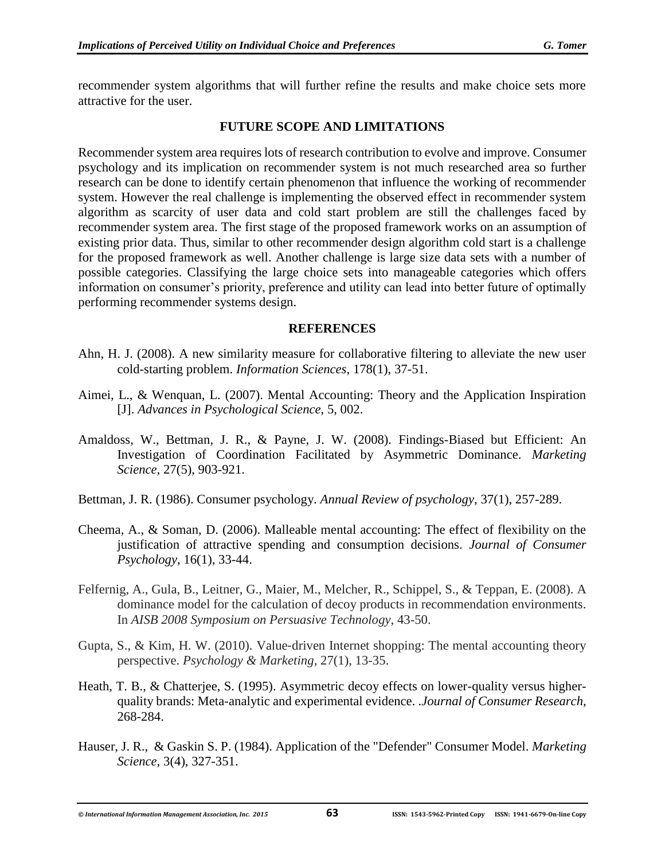recommender system algorithms that will further refine the results and make choice sets more attractive for the user.

#### **FUTURE SCOPE AND LIMITATIONS**

Recommender system area requires lots of research contribution to evolve and improve. Consumer psychology and its implication on recommender system is not much researched area so further research can be done to identify certain phenomenon that influence the working of recommender system. However the real challenge is implementing the observed effect in recommender system algorithm as scarcity of user data and cold start problem are still the challenges faced by recommender system area. The first stage of the proposed framework works on an assumption of existing prior data. Thus, similar to other recommender design algorithm cold start is a challenge for the proposed framework as well. Another challenge is large size data sets with a number of possible categories. Classifying the large choice sets into manageable categories which offers information on consumer's priority, preference and utility can lead into better future of optimally performing recommender systems design.

#### **REFERENCES**

- Ahn, H. J. (2008). A new similarity measure for collaborative filtering to alleviate the new user cold-starting problem. *Information Sciences*, 178(1), 37-51.
- Aimei, L., & Wenquan, L. (2007). Mental Accounting: Theory and the Application Inspiration [J]. *Advances in Psychological Science*, 5, 002.
- Amaldoss, W., Bettman, J. R., & Payne, J. W. (2008). Findings-Biased but Efficient: An Investigation of Coordination Facilitated by Asymmetric Dominance. *Marketing Science*, 27(5), 903-921.
- Bettman, J. R. (1986). Consumer psychology. *Annual Review of psychology*, 37(1), 257-289.
- Cheema, A., & Soman, D. (2006). Malleable mental accounting: The effect of flexibility on the justification of attractive spending and consumption decisions. *Journal of Consumer Psychology*, 16(1), 33-44.
- Felfernig, A., Gula, B., Leitner, G., Maier, M., Melcher, R., Schippel, S., & Teppan, E. (2008). A dominance model for the calculation of decoy products in recommendation environments. In *AISB 2008 Symposium on Persuasive Technology*, 43-50.
- Gupta, S., & Kim, H. W. (2010). Value‐driven Internet shopping: The mental accounting theory perspective. *Psychology & Marketing*, 27(1), 13-35.
- Heath, T. B., & Chatterjee, S. (1995). Asymmetric decoy effects on lower-quality versus higherquality brands: Meta-analytic and experimental evidence. .*Journal of Consumer Research*, 268-284.
- Hauser, J. R., & Gaskin S. P. (1984). Application of the "Defender" Consumer Model. *Marketing Science,* 3(4), 327-351.